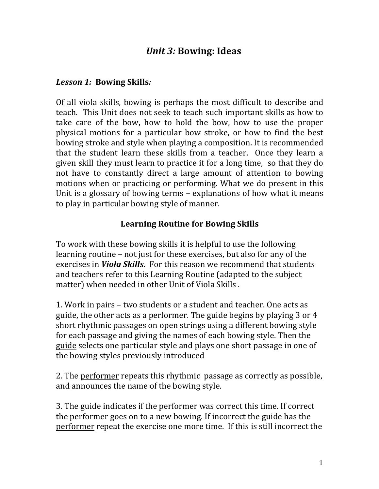## *Unit 3:* Bowing: Ideas

## *Lesson 1:* **Bowing Skills***:*

Of all viola skills, bowing is perhaps the most difficult to describe and teach. This Unit does not seek to teach such important skills as how to take care of the bow, how to hold the bow, how to use the proper physical motions for a particular bow stroke, or how to find the best bowing stroke and style when playing a composition. It is recommended that the student learn these skills from a teacher. Once they learn a given skill they must learn to practice it for a long time, so that they do not have to constantly direct a large amount of attention to bowing motions when or practicing or performing. What we do present in this Unit is a glossary of bowing terms  $-$  explanations of how what it means to play in particular bowing style of manner.

## **Learning Routine for Bowing Skills**

To work with these bowing skills it is helpful to use the following learning routine – not just for these exercises, but also for any of the exercises in *Viola Skills.* For this reason we recommend that students and teachers refer to this Learning Routine (adapted to the subject matter) when needed in other Unit of Viola Skills.

1. Work in pairs – two students or a student and teacher. One acts as guide, the other acts as a performer. The guide begins by playing 3 or 4 short rhythmic passages on open strings using a different bowing style for each passage and giving the names of each bowing style. Then the guide selects one particular style and plays one short passage in one of the bowing styles previously introduced

2. The performer repeats this rhythmic passage as correctly as possible, and announces the name of the bowing style.

3. The guide indicates if the performer was correct this time. If correct the performer goes on to a new bowing. If incorrect the guide has the performer repeat the exercise one more time. If this is still incorrect the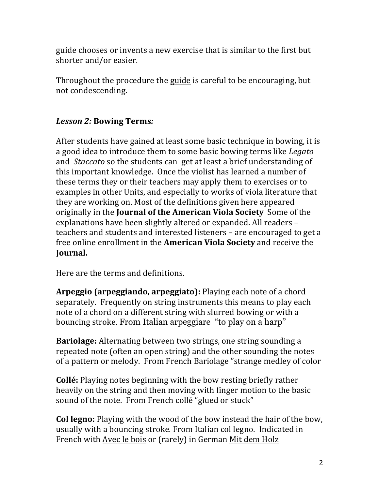guide chooses or invents a new exercise that is similar to the first but shorter and/or easier.

Throughout the procedure the guide is careful to be encouraging, but not condescending.

## *Lesson 2:* **Bowing Terms***:*

After students have gained at least some basic technique in bowing, it is a good idea to introduce them to some basic bowing terms like *Legato* and *Staccato* so the students can get at least a brief understanding of this important knowledge. Once the violist has learned a number of these terms they or their teachers may apply them to exercises or to examples in other Units, and especially to works of viola literature that they are working on. Most of the definitions given here appeared originally in the **Journal of the American Viola Society** Some of the explanations have been slightly altered or expanded. All readers teachers and students and interested listeners – are encouraged to get a free online enrollment in the **American Viola Society** and receive the **Journal.** 

Here are the terms and definitions.

**Arpeggio (arpeggiando, arpeggiato):** Playing each note of a chord separately. Frequently on string instruments this means to play each note of a chord on a different string with slurred bowing or with a bouncing stroke. From Italian arpeggiare "to play on a harp"

**Bariolage:** Alternating between two strings, one string sounding a repeated note (often an open string) and the other sounding the notes of a pattern or melody. From French Bariolage "strange medley of color

**Collé:** Playing notes beginning with the bow resting briefly rather heavily on the string and then moving with finger motion to the basic sound of the note. From French collé "glued or stuck"

**Col legno:** Playing with the wood of the bow instead the hair of the bow, usually with a bouncing stroke. From Italian col legno. Indicated in French with Avec le bois or (rarely) in German Mit dem Holz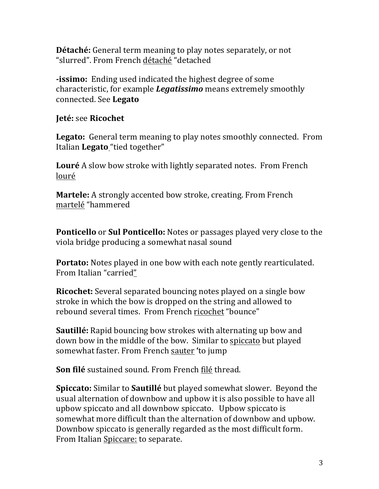**Détaché:** General term meaning to play notes separately, or not "slurred". From French détaché "detached

**-issimo:** Ending used indicated the highest degree of some characteristic, for example **Legatissimo** means extremely smoothly connected. See **Legato**

**Jeté:** see **Ricochet**

Legato: General term meaning to play notes smoothly connected. From Italian **Legato** "tied together"

**Louré** A slow bow stroke with lightly separated notes. From French louré 

**Martele:** A strongly accented bow stroke, creating. From French martelé "hammered 

**Ponticello** or **Sul Ponticello:** Notes or passages played very close to the viola bridge producing a somewhat nasal sound

**Portato:** Notes played in one bow with each note gently rearticulated. From Italian "carried"

**Ricochet:** Several separated bouncing notes played on a single bow stroke in which the bow is dropped on the string and allowed to rebound several times. From French ricochet "bounce"

**Sautillé:** Rapid bouncing bow strokes with alternating up bow and down bow in the middle of the bow. Similar to spiccato but played somewhat faster. From French sauter 'to jump

**Son filé** sustained sound. From French filé thread.

**Spiccato:** Similar to **Sautillé** but played somewhat slower. Beyond the usual alternation of downbow and upbow it is also possible to have all upbow spiccato and all downbow spiccato. Upbow spiccato is somewhat more difficult than the alternation of downbow and upbow. Downbow spiccato is generally regarded as the most difficult form. From Italian Spiccare: to separate.